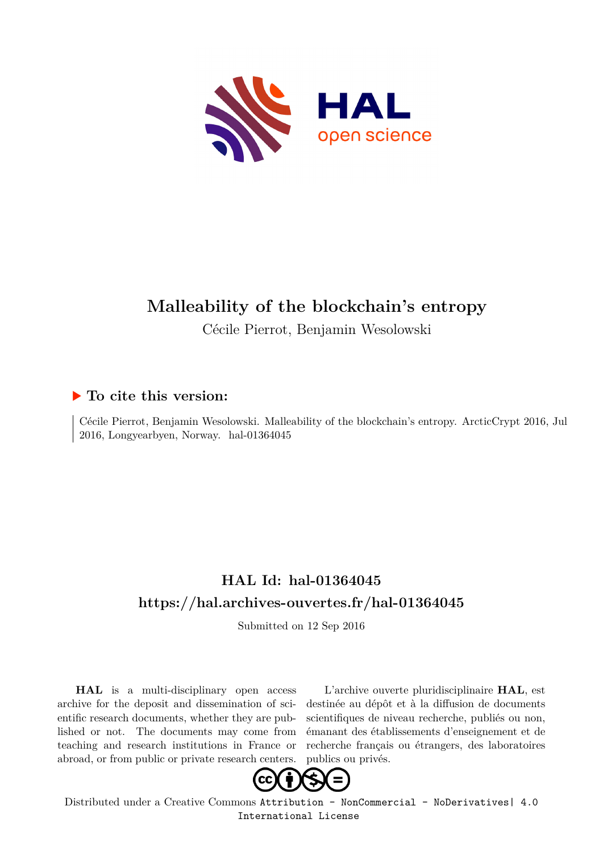

# **Malleability of the blockchain's entropy**

Cécile Pierrot, Benjamin Wesolowski

## **To cite this version:**

Cécile Pierrot, Benjamin Wesolowski. Malleability of the blockchain's entropy. ArcticCrypt 2016, Jul  $2016$ , Longyearbyen, Norway. hal- $01364045$ 

## **HAL Id: hal-01364045 <https://hal.archives-ouvertes.fr/hal-01364045>**

Submitted on 12 Sep 2016

**HAL** is a multi-disciplinary open access archive for the deposit and dissemination of scientific research documents, whether they are published or not. The documents may come from teaching and research institutions in France or abroad, or from public or private research centers.

L'archive ouverte pluridisciplinaire **HAL**, est destinée au dépôt et à la diffusion de documents scientifiques de niveau recherche, publiés ou non, émanant des établissements d'enseignement et de recherche français ou étrangers, des laboratoires publics ou privés.



Distributed under a Creative Commons [Attribution - NonCommercial - NoDerivatives| 4.0](http://creativecommons.org/licenses/by-nc-nd/4.0/) [International License](http://creativecommons.org/licenses/by-nc-nd/4.0/)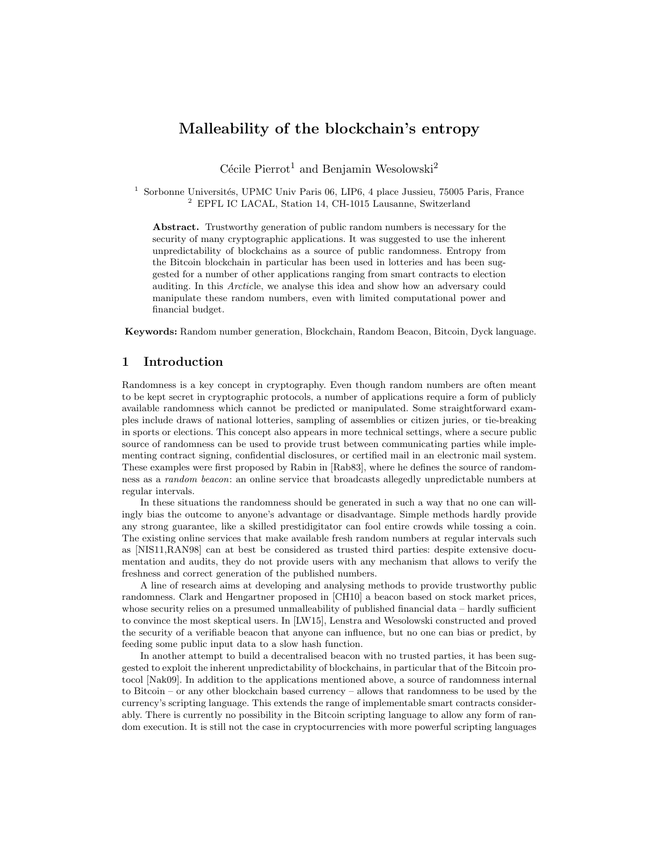## Malleability of the blockchain's entropy

Cécile Pierrot<sup>1</sup> and Benjamin Wesolowski<sup>2</sup>

<sup>1</sup> Sorbonne Universités, UPMC Univ Paris 06, LIP6, 4 place Jussieu, 75005 Paris, France <sup>2</sup> EPFL IC LACAL, Station 14, CH-1015 Lausanne, Switzerland

Abstract. Trustworthy generation of public random numbers is necessary for the security of many cryptographic applications. It was suggested to use the inherent unpredictability of blockchains as a source of public randomness. Entropy from the Bitcoin blockchain in particular has been used in lotteries and has been suggested for a number of other applications ranging from smart contracts to election auditing. In this Arcticle, we analyse this idea and show how an adversary could manipulate these random numbers, even with limited computational power and financial budget.

Keywords: Random number generation, Blockchain, Random Beacon, Bitcoin, Dyck language.

## 1 Introduction

Randomness is a key concept in cryptography. Even though random numbers are often meant to be kept secret in cryptographic protocols, a number of applications require a form of publicly available randomness which cannot be predicted or manipulated. Some straightforward examples include draws of national lotteries, sampling of assemblies or citizen juries, or tie-breaking in sports or elections. This concept also appears in more technical settings, where a secure public source of randomness can be used to provide trust between communicating parties while implementing contract signing, confidential disclosures, or certified mail in an electronic mail system. These examples were first proposed by Rabin in [Rab83], where he defines the source of randomness as a random beacon: an online service that broadcasts allegedly unpredictable numbers at regular intervals.

In these situations the randomness should be generated in such a way that no one can willingly bias the outcome to anyone's advantage or disadvantage. Simple methods hardly provide any strong guarantee, like a skilled prestidigitator can fool entire crowds while tossing a coin. The existing online services that make available fresh random numbers at regular intervals such as [NIS11,RAN98] can at best be considered as trusted third parties: despite extensive documentation and audits, they do not provide users with any mechanism that allows to verify the freshness and correct generation of the published numbers.

A line of research aims at developing and analysing methods to provide trustworthy public randomness. Clark and Hengartner proposed in [CH10] a beacon based on stock market prices, whose security relies on a presumed unmalleability of published financial data – hardly sufficient to convince the most skeptical users. In [LW15], Lenstra and Wesolowski constructed and proved the security of a verifiable beacon that anyone can influence, but no one can bias or predict, by feeding some public input data to a slow hash function.

In another attempt to build a decentralised beacon with no trusted parties, it has been suggested to exploit the inherent unpredictability of blockchains, in particular that of the Bitcoin protocol [Nak09]. In addition to the applications mentioned above, a source of randomness internal to Bitcoin – or any other blockchain based currency – allows that randomness to be used by the currency's scripting language. This extends the range of implementable smart contracts considerably. There is currently no possibility in the Bitcoin scripting language to allow any form of random execution. It is still not the case in cryptocurrencies with more powerful scripting languages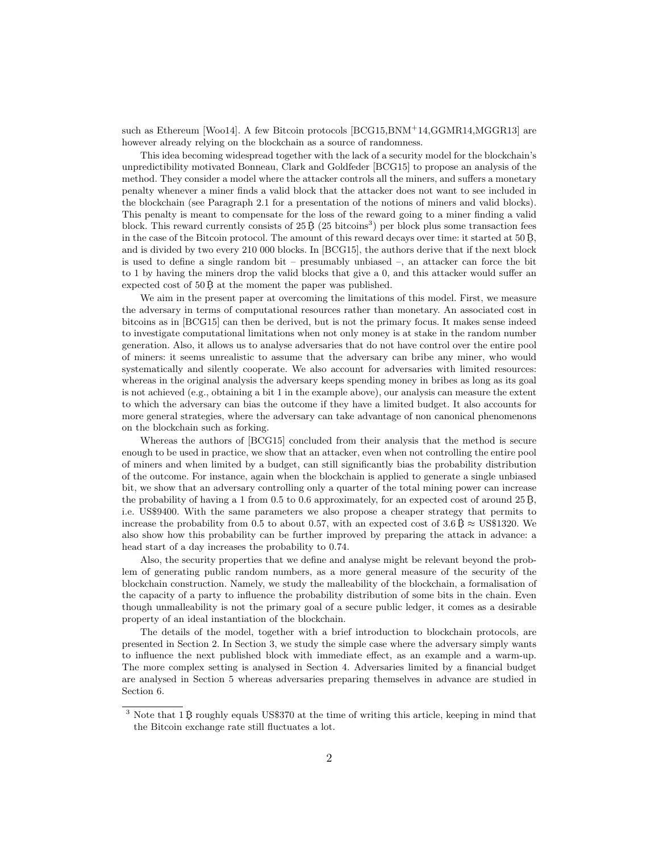such as Ethereum [Woo14]. A few Bitcoin protocols [BCG15,BNM<sup>+</sup>14,GGMR14,MGGR13] are however already relying on the blockchain as a source of randomness.

This idea becoming widespread together with the lack of a security model for the blockchain's unpredictibility motivated Bonneau, Clark and Goldfeder [BCG15] to propose an analysis of the method. They consider a model where the attacker controls all the miners, and suffers a monetary penalty whenever a miner finds a valid block that the attacker does not want to see included in the blockchain (see Paragraph 2.1 for a presentation of the notions of miners and valid blocks). This penalty is meant to compensate for the loss of the reward going to a miner finding a valid block. This reward currently consists of  $25\,\mathrm{B}$  ( $25\,\mathrm{bitcoins}^3$ ) per block plus some transaction fees in the case of the Bitcoin protocol. The amount of this reward decays over time: it started at 50 B, and is divided by two every 210 000 blocks. In [BCG15], the authors derive that if the next block is used to define a single random bit – presumably unbiased –, an attacker can force the bit to 1 by having the miners drop the valid blocks that give a 0, and this attacker would suffer an expected cost of  $50\ddot{B}$  at the moment the paper was published.

We aim in the present paper at overcoming the limitations of this model. First, we measure the adversary in terms of computational resources rather than monetary. An associated cost in bitcoins as in [BCG15] can then be derived, but is not the primary focus. It makes sense indeed to investigate computational limitations when not only money is at stake in the random number generation. Also, it allows us to analyse adversaries that do not have control over the entire pool of miners: it seems unrealistic to assume that the adversary can bribe any miner, who would systematically and silently cooperate. We also account for adversaries with limited resources: whereas in the original analysis the adversary keeps spending money in bribes as long as its goal is not achieved (e.g., obtaining a bit 1 in the example above), our analysis can measure the extent to which the adversary can bias the outcome if they have a limited budget. It also accounts for more general strategies, where the adversary can take advantage of non canonical phenomenons on the blockchain such as forking.

Whereas the authors of [BCG15] concluded from their analysis that the method is secure enough to be used in practice, we show that an attacker, even when not controlling the entire pool of miners and when limited by a budget, can still significantly bias the probability distribution of the outcome. For instance, again when the blockchain is applied to generate a single unbiased bit, we show that an adversary controlling only a quarter of the total mining power can increase the probability of having a 1 from 0.5 to 0.6 approximately, for an expected cost of around  $25 B$ , i.e. US\$9400. With the same parameters we also propose a cheaper strategy that permits to increase the probability from 0.5 to about 0.57, with an expected cost of  $3.6 \text{ B} \approx \text{US} \$1320$ . We also show how this probability can be further improved by preparing the attack in advance: a head start of a day increases the probability to 0.74.

Also, the security properties that we define and analyse might be relevant beyond the problem of generating public random numbers, as a more general measure of the security of the blockchain construction. Namely, we study the malleability of the blockchain, a formalisation of the capacity of a party to influence the probability distribution of some bits in the chain. Even though unmalleability is not the primary goal of a secure public ledger, it comes as a desirable property of an ideal instantiation of the blockchain.

The details of the model, together with a brief introduction to blockchain protocols, are presented in Section 2. In Section 3, we study the simple case where the adversary simply wants to influence the next published block with immediate effect, as an example and a warm-up. The more complex setting is analysed in Section 4. Adversaries limited by a financial budget are analysed in Section 5 whereas adversaries preparing themselves in advance are studied in Section 6.

 $3$  Note that 1 B roughly equals US\$370 at the time of writing this article, keeping in mind that the Bitcoin exchange rate still fluctuates a lot.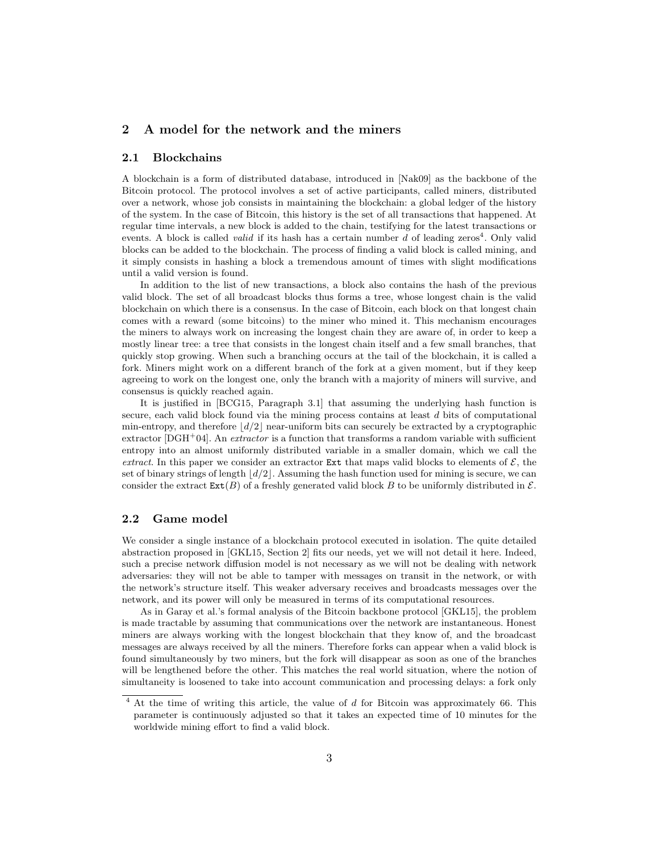## 2 A model for the network and the miners

#### 2.1 Blockchains

A blockchain is a form of distributed database, introduced in [Nak09] as the backbone of the Bitcoin protocol. The protocol involves a set of active participants, called miners, distributed over a network, whose job consists in maintaining the blockchain: a global ledger of the history of the system. In the case of Bitcoin, this history is the set of all transactions that happened. At regular time intervals, a new block is added to the chain, testifying for the latest transactions or events. A block is called *valid* if its hash has a certain number d of leading zeros<sup>4</sup>. Only valid blocks can be added to the blockchain. The process of finding a valid block is called mining, and it simply consists in hashing a block a tremendous amount of times with slight modifications until a valid version is found.

In addition to the list of new transactions, a block also contains the hash of the previous valid block. The set of all broadcast blocks thus forms a tree, whose longest chain is the valid blockchain on which there is a consensus. In the case of Bitcoin, each block on that longest chain comes with a reward (some bitcoins) to the miner who mined it. This mechanism encourages the miners to always work on increasing the longest chain they are aware of, in order to keep a mostly linear tree: a tree that consists in the longest chain itself and a few small branches, that quickly stop growing. When such a branching occurs at the tail of the blockchain, it is called a fork. Miners might work on a different branch of the fork at a given moment, but if they keep agreeing to work on the longest one, only the branch with a majority of miners will survive, and consensus is quickly reached again.

It is justified in [BCG15, Paragraph 3.1] that assuming the underlying hash function is secure, each valid block found via the mining process contains at least d bits of computational min-entropy, and therefore  $\lfloor d/2 \rfloor$  near-uniform bits can securely be extracted by a cryptographic extractor  $[{\rm DGH^+04}]$ . An *extractor* is a function that transforms a random variable with sufficient entropy into an almost uniformly distributed variable in a smaller domain, which we call the extract. In this paper we consider an extractor Ext that maps valid blocks to elements of  $\mathcal{E}$ , the set of binary strings of length  $\lfloor d/2 \rfloor$ . Assuming the hash function used for mining is secure, we can consider the extract  $\text{Ext}(B)$  of a freshly generated valid block B to be uniformly distributed in  $\mathcal{E}$ .

#### 2.2 Game model

We consider a single instance of a blockchain protocol executed in isolation. The quite detailed abstraction proposed in [GKL15, Section 2] fits our needs, yet we will not detail it here. Indeed, such a precise network diffusion model is not necessary as we will not be dealing with network adversaries: they will not be able to tamper with messages on transit in the network, or with the network's structure itself. This weaker adversary receives and broadcasts messages over the network, and its power will only be measured in terms of its computational resources.

As in Garay et al.'s formal analysis of the Bitcoin backbone protocol [GKL15], the problem is made tractable by assuming that communications over the network are instantaneous. Honest miners are always working with the longest blockchain that they know of, and the broadcast messages are always received by all the miners. Therefore forks can appear when a valid block is found simultaneously by two miners, but the fork will disappear as soon as one of the branches will be lengthened before the other. This matches the real world situation, where the notion of simultaneity is loosened to take into account communication and processing delays: a fork only

 $4$  At the time of writing this article, the value of  $d$  for Bitcoin was approximately 66. This parameter is continuously adjusted so that it takes an expected time of 10 minutes for the worldwide mining effort to find a valid block.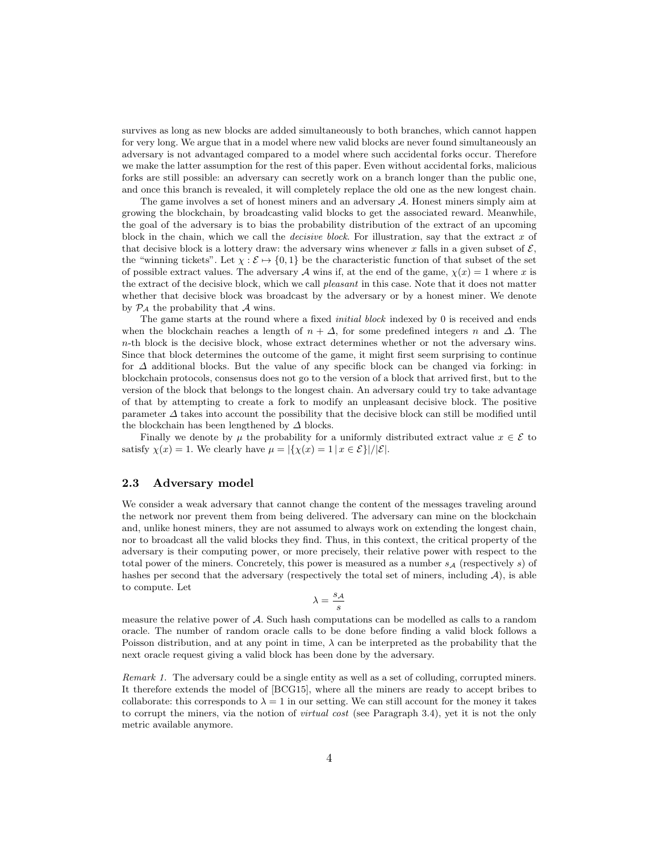survives as long as new blocks are added simultaneously to both branches, which cannot happen for very long. We argue that in a model where new valid blocks are never found simultaneously an adversary is not advantaged compared to a model where such accidental forks occur. Therefore we make the latter assumption for the rest of this paper. Even without accidental forks, malicious forks are still possible: an adversary can secretly work on a branch longer than the public one, and once this branch is revealed, it will completely replace the old one as the new longest chain.

The game involves a set of honest miners and an adversary  $A$ . Honest miners simply aim at growing the blockchain, by broadcasting valid blocks to get the associated reward. Meanwhile, the goal of the adversary is to bias the probability distribution of the extract of an upcoming block in the chain, which we call the *decisive block*. For illustration, say that the extract  $x$  of that decisive block is a lottery draw: the adversary wins whenever x falls in a given subset of  $\mathcal{E}$ , the "winning tickets". Let  $\chi : \mathcal{E} \to \{0, 1\}$  be the characteristic function of that subset of the set of possible extract values. The adversary A wins if, at the end of the game,  $\chi(x) = 1$  where x is the extract of the decisive block, which we call *pleasant* in this case. Note that it does not matter whether that decisive block was broadcast by the adversary or by a honest miner. We denote by  $\mathcal{P}_{\mathcal{A}}$  the probability that  $\mathcal A$  wins.

The game starts at the round where a fixed *initial block* indexed by 0 is received and ends when the blockchain reaches a length of  $n + \Delta$ , for some predefined integers n and  $\Delta$ . The n-th block is the decisive block, whose extract determines whether or not the adversary wins. Since that block determines the outcome of the game, it might first seem surprising to continue for  $\Delta$  additional blocks. But the value of any specific block can be changed via forking: in blockchain protocols, consensus does not go to the version of a block that arrived first, but to the version of the block that belongs to the longest chain. An adversary could try to take advantage of that by attempting to create a fork to modify an unpleasant decisive block. The positive parameter  $\Delta$  takes into account the possibility that the decisive block can still be modified until the blockchain has been lengthened by  $\Delta$  blocks.

Finally we denote by  $\mu$  the probability for a uniformly distributed extract value  $x \in \mathcal{E}$  to satisfy  $\chi(x) = 1$ . We clearly have  $\mu = |\{\chi(x) = 1 | x \in \mathcal{E}\}|/|\mathcal{E}|$ .

#### 2.3 Adversary model

We consider a weak adversary that cannot change the content of the messages traveling around the network nor prevent them from being delivered. The adversary can mine on the blockchain and, unlike honest miners, they are not assumed to always work on extending the longest chain, nor to broadcast all the valid blocks they find. Thus, in this context, the critical property of the adversary is their computing power, or more precisely, their relative power with respect to the total power of the miners. Concretely, this power is measured as a number  $s_{\mathcal{A}}$  (respectively s) of hashes per second that the adversary (respectively the total set of miners, including  $\mathcal{A}$ ), is able to compute. Let

$$
\lambda = \frac{s_{\mathcal{A}}}{s}
$$

measure the relative power of A. Such hash computations can be modelled as calls to a random oracle. The number of random oracle calls to be done before finding a valid block follows a Poisson distribution, and at any point in time,  $\lambda$  can be interpreted as the probability that the next oracle request giving a valid block has been done by the adversary.

Remark 1. The adversary could be a single entity as well as a set of colluding, corrupted miners. It therefore extends the model of [BCG15], where all the miners are ready to accept bribes to collaborate: this corresponds to  $\lambda = 1$  in our setting. We can still account for the money it takes to corrupt the miners, via the notion of virtual cost (see Paragraph 3.4), yet it is not the only metric available anymore.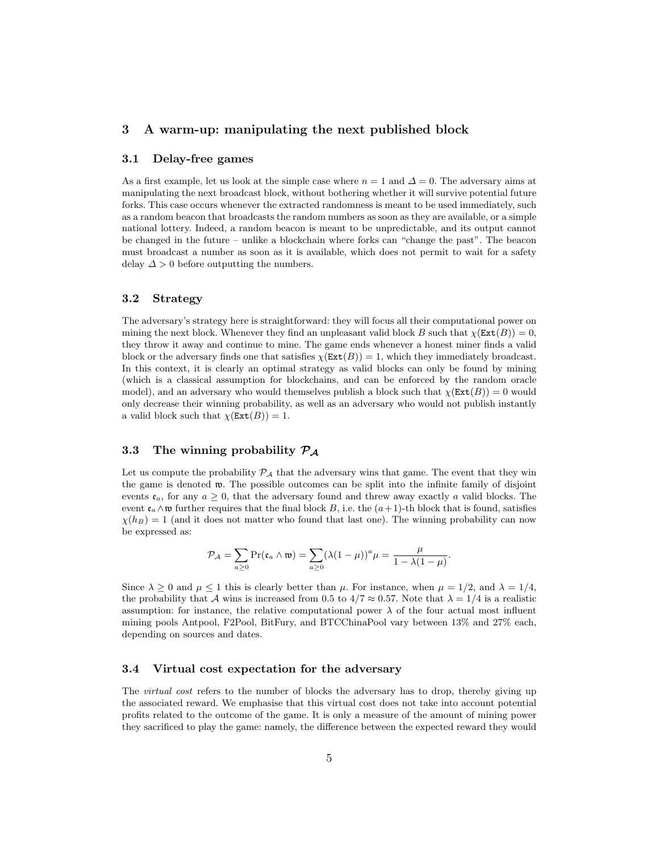## 3 A warm-up: manipulating the next published block

## 3.1 Delay-free games

As a first example, let us look at the simple case where  $n = 1$  and  $\Delta = 0$ . The adversary aims at manipulating the next broadcast block, without bothering whether it will survive potential future forks. This case occurs whenever the extracted randomness is meant to be used immediately, such as a random beacon that broadcasts the random numbers as soon as they are available, or a simple national lottery. Indeed, a random beacon is meant to be unpredictable, and its output cannot be changed in the future – unlike a blockchain where forks can "change the past". The beacon must broadcast a number as soon as it is available, which does not permit to wait for a safety delay  $\Delta > 0$  before outputting the numbers.

### 3.2 Strategy

The adversary's strategy here is straightforward: they will focus all their computational power on mining the next block. Whenever they find an unpleasant valid block B such that  $\chi$ (Ext(B)) = 0, they throw it away and continue to mine. The game ends whenever a honest miner finds a valid block or the adversary finds one that satisfies  $\chi(\text{Ext}(B)) = 1$ , which they immediately broadcast. In this context, it is clearly an optimal strategy as valid blocks can only be found by mining (which is a classical assumption for blockchains, and can be enforced by the random oracle model), and an adversary who would themselves publish a block such that  $\chi(Ext(B)) = 0$  would only decrease their winning probability, as well as an adversary who would not publish instantly a valid block such that  $\chi(\text{Ext}(B)) = 1$ .

## 3.3 The winning probability  $P_A$

Let us compute the probability  $\mathcal{P}_{\mathcal{A}}$  that the adversary wins that game. The event that they win the game is denoted  $\mathfrak{w}$ . The possible outcomes can be split into the infinite family of disjoint events  $e_a$ , for any  $a \geq 0$ , that the adversary found and threw away exactly a valid blocks. The event  $\mathfrak{e}_a \wedge \mathfrak{w}$  further requires that the final block B, i.e. the  $(a+1)$ -th block that is found, satisfies  $\chi(h_B) = 1$  (and it does not matter who found that last one). The winning probability can now be expressed as:

$$
\mathcal{P}_{\mathcal{A}} = \sum_{a \geq 0} \Pr(\mathfrak{e}_a \wedge \mathfrak{w}) = \sum_{a \geq 0} (\lambda (1 - \mu))^a \mu = \frac{\mu}{1 - \lambda (1 - \mu)}.
$$

Since  $\lambda \geq 0$  and  $\mu \leq 1$  this is clearly better than  $\mu$ . For instance, when  $\mu = 1/2$ , and  $\lambda = 1/4$ , the probability that A wins is increased from 0.5 to  $4/7 \approx 0.57$ . Note that  $\lambda = 1/4$  is a realistic assumption: for instance, the relative computational power  $\lambda$  of the four actual most influent mining pools Antpool, F2Pool, BitFury, and BTCChinaPool vary between 13% and 27% each, depending on sources and dates.

#### 3.4 Virtual cost expectation for the adversary

The *virtual cost* refers to the number of blocks the adversary has to drop, thereby giving up the associated reward. We emphasise that this virtual cost does not take into account potential profits related to the outcome of the game. It is only a measure of the amount of mining power they sacrificed to play the game: namely, the difference between the expected reward they would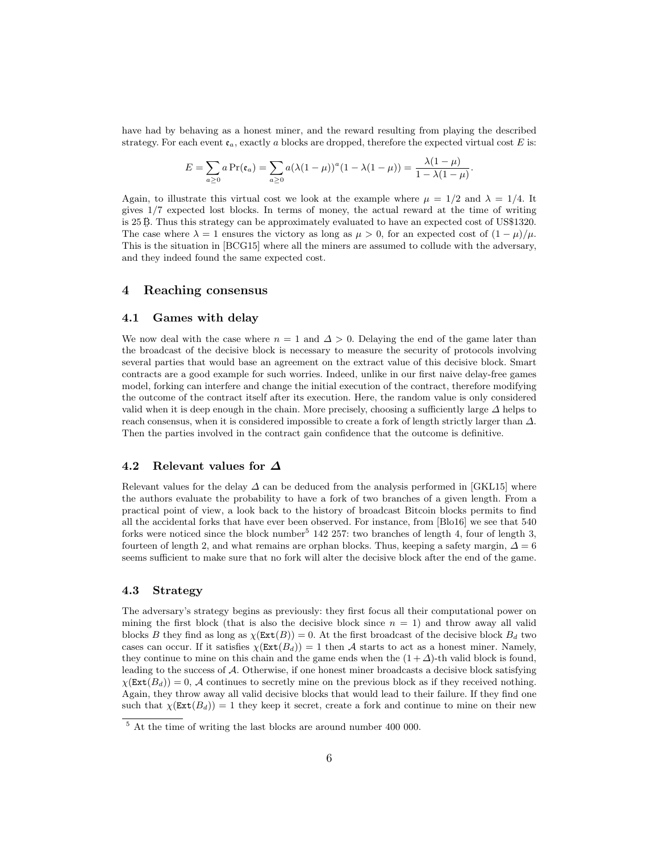have had by behaving as a honest miner, and the reward resulting from playing the described strategy. For each event  $\mathfrak{e}_a$ , exactly a blocks are dropped, therefore the expected virtual cost E is:

$$
E = \sum_{a\geq 0} a \Pr(\mathfrak{e}_a) = \sum_{a\geq 0} a(\lambda(1-\mu))^a (1-\lambda(1-\mu)) = \frac{\lambda(1-\mu)}{1-\lambda(1-\mu)}.
$$

Again, to illustrate this virtual cost we look at the example where  $\mu = 1/2$  and  $\lambda = 1/4$ . It gives 1/7 expected lost blocks. In terms of money, the actual reward at the time of writing is 25 B. Thus this strategy can be approximately evaluated to have an expected cost of US\$1320. The case where  $\lambda = 1$  ensures the victory as long as  $\mu > 0$ , for an expected cost of  $(1 - \mu)/\mu$ . This is the situation in [BCG15] where all the miners are assumed to collude with the adversary, and they indeed found the same expected cost.

## 4 Reaching consensus

#### 4.1 Games with delay

We now deal with the case where  $n = 1$  and  $\Delta > 0$ . Delaying the end of the game later than the broadcast of the decisive block is necessary to measure the security of protocols involving several parties that would base an agreement on the extract value of this decisive block. Smart contracts are a good example for such worries. Indeed, unlike in our first naive delay-free games model, forking can interfere and change the initial execution of the contract, therefore modifying the outcome of the contract itself after its execution. Here, the random value is only considered valid when it is deep enough in the chain. More precisely, choosing a sufficiently large  $\Delta$  helps to reach consensus, when it is considered impossible to create a fork of length strictly larger than  $\Delta$ . Then the parties involved in the contract gain confidence that the outcome is definitive.

#### 4.2 Relevant values for ∆

Relevant values for the delay  $\Delta$  can be deduced from the analysis performed in [GKL15] where the authors evaluate the probability to have a fork of two branches of a given length. From a practical point of view, a look back to the history of broadcast Bitcoin blocks permits to find all the accidental forks that have ever been observed. For instance, from [Blo16] we see that 540 forks were noticed since the block number<sup>5</sup>  $142$  257: two branches of length 4, four of length 3, fourteen of length 2, and what remains are orphan blocks. Thus, keeping a safety margin,  $\Delta = 6$ seems sufficient to make sure that no fork will alter the decisive block after the end of the game.

#### 4.3 Strategy

The adversary's strategy begins as previously: they first focus all their computational power on mining the first block (that is also the decisive block since  $n = 1$ ) and throw away all valid blocks B they find as long as  $\chi(\text{Ext}(B)) = 0$ . At the first broadcast of the decisive block  $B_d$  two cases can occur. If it satisfies  $\chi(\text{Ext}(B_d)) = 1$  then A starts to act as a honest miner. Namely, they continue to mine on this chain and the game ends when the  $(1 + \Delta)$ -th valid block is found, leading to the success of A. Otherwise, if one honest miner broadcasts a decisive block satisfying  $\chi(\text{Ext}(B_d)) = 0$ , A continues to secretly mine on the previous block as if they received nothing. Again, they throw away all valid decisive blocks that would lead to their failure. If they find one such that  $\chi(\text{Ext}(B_d)) = 1$  they keep it secret, create a fork and continue to mine on their new

 $5$  At the time of writing the last blocks are around number 400 000.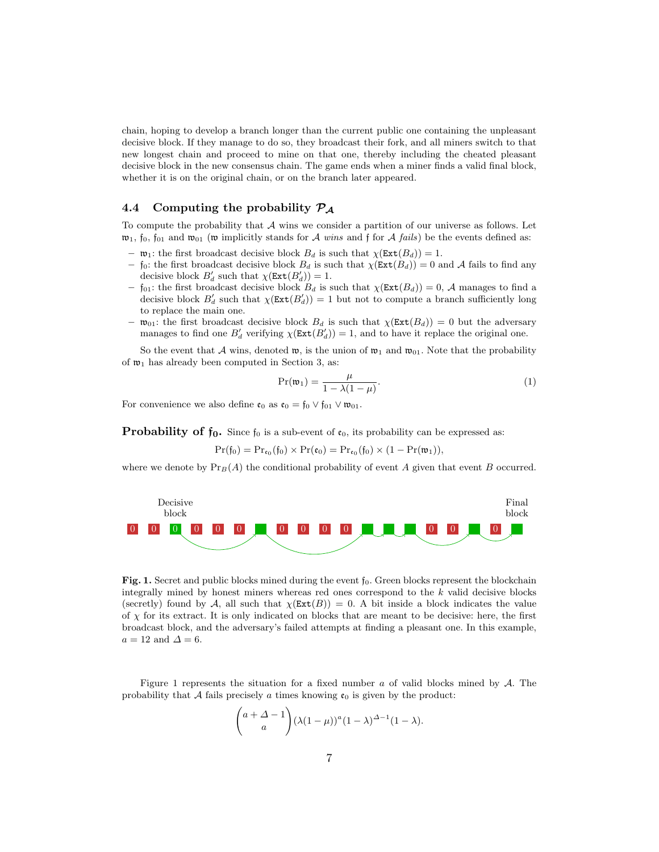chain, hoping to develop a branch longer than the current public one containing the unpleasant decisive block. If they manage to do so, they broadcast their fork, and all miners switch to that new longest chain and proceed to mine on that one, thereby including the cheated pleasant decisive block in the new consensus chain. The game ends when a miner finds a valid final block, whether it is on the original chain, or on the branch later appeared.

## 4.4 Computing the probability  $P_A$

To compute the probability that  $A$  wins we consider a partition of our universe as follows. Let  $\mathfrak{w}_1$ ,  $\mathfrak{f}_0$ ,  $\mathfrak{f}_{01}$  and  $\mathfrak{w}_{01}$  (w implicitly stands for A wins and  $\mathfrak{f}$  for A fails) be the events defined as:

- $-$  **w**<sub>1</sub>: the first broadcast decisive block  $B_d$  is such that  $\chi(\text{Ext}(B_d)) = 1$ .
- $-$  f<sub>0</sub>: the first broadcast decisive block  $B_d$  is such that  $\chi(\texttt{Ext}(B_d)) = 0$  and A fails to find any decisive block  $B'_d$  such that  $\chi(\text{Ext}(B'_d)) = 1$ .
- $-$  f<sub>01</sub>: the first broadcast decisive block  $B_d$  is such that  $\chi(\text{Ext}(B_d)) = 0$ , A manages to find a decisive block  $B'_d$  such that  $\chi(\texttt{Ext}(B'_d)) = 1$  but not to compute a branch sufficiently long to replace the main one.
- $\mathfrak{w}_{01}$ : the first broadcast decisive block  $B_d$  is such that  $\chi(\text{Ext}(B_d)) = 0$  but the adversary manages to find one  $B'_d$  verifying  $\chi(\text{Ext}(B'_d)) = 1$ , and to have it replace the original one.

So the event that A wins, denoted  $\mathfrak{w}$ , is the union of  $\mathfrak{w}_1$  and  $\mathfrak{w}_{01}$ . Note that the probability of  $\mathfrak{w}_1$  has already been computed in Section 3, as:

$$
\Pr(\mathfrak{w}_1) = \frac{\mu}{1 - \lambda(1 - \mu)}.\tag{1}
$$

For convenience we also define  $\mathfrak{e}_0$  as  $\mathfrak{e}_0 = \mathfrak{f}_0 \vee \mathfrak{f}_{01} \vee \mathfrak{w}_{01}$ .

**Probability of**  $f_0$ **.** Since  $f_0$  is a sub-event of  $c_0$ , its probability can be expressed as:

 $Pr(f_0) = Pr_{\mathfrak{e}_0}(f_0) \times Pr(\mathfrak{e}_0) = Pr_{\mathfrak{e}_0}(f_0) \times (1 - Pr(\mathfrak{w}_1)),$ 

where we denote by  $Pr_B(A)$  the conditional probability of event A given that event B occurred.



**Fig. 1.** Secret and public blocks mined during the event  $f_0$ . Green blocks represent the blockchain integrally mined by honest miners whereas red ones correspond to the k valid decisive blocks (secretly) found by A, all such that  $\chi(Ext(B)) = 0$ . A bit inside a block indicates the value of  $\chi$  for its extract. It is only indicated on blocks that are meant to be decisive: here, the first broadcast block, and the adversary's failed attempts at finding a pleasant one. In this example,  $a = 12$  and  $\Delta = 6$ .

Figure 1 represents the situation for a fixed number a of valid blocks mined by  $\mathcal A$ . The probability that A fails precisely a times knowing  $\mathfrak{e}_0$  is given by the product:

$$
\binom{a+\Delta-1}{a} (\lambda(1-\mu))^a (1-\lambda)^{\Delta-1} (1-\lambda).
$$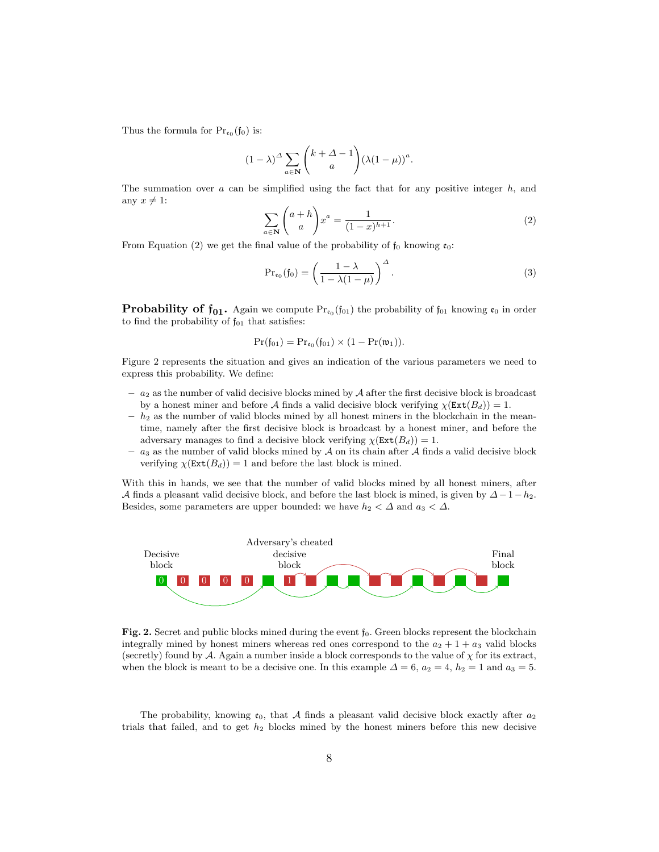Thus the formula for  $Pr_{\mathfrak{e}_0}(\mathfrak{f}_0)$  is:

$$
(1 - \lambda)^{\Delta} \sum_{a \in \mathbf{N}} \binom{k + \Delta - 1}{a} (\lambda (1 - \mu))^a.
$$

The summation over  $a$  can be simplified using the fact that for any positive integer  $h$ , and any  $x \neq 1$ :

$$
\sum_{a \in \mathbf{N}} \binom{a+h}{a} x^a = \frac{1}{(1-x)^{h+1}}.\tag{2}
$$

From Equation (2) we get the final value of the probability of  $f_0$  knowing  $\mathfrak{e}_0$ :

$$
\Pr_{\mathfrak{e}_0}(\mathfrak{f}_0) = \left(\frac{1-\lambda}{1-\lambda(1-\mu)}\right)^{\Delta}.
$$
 (3)

**Probability of**  $f_{01}$ **.** Again we compute  $Pr_{c_0}(f_{01})$  the probability of  $f_{01}$  knowing  $c_0$  in order to find the probability of  $f_{01}$  that satisfies:

$$
\Pr(\mathfrak{f}_{01})=\Pr_{\mathfrak{e}_0}(\mathfrak{f}_{01})\times (1-\Pr(\mathfrak{w}_1)).
$$

Figure 2 represents the situation and gives an indication of the various parameters we need to express this probability. We define:

- $-$  a<sub>2</sub> as the number of valid decisive blocks mined by A after the first decisive block is broadcast by a honest miner and before A finds a valid decisive block verifying  $\chi(\text{Ext}(B_d)) = 1$ .
- $h_2$  as the number of valid blocks mined by all honest miners in the blockchain in the meantime, namely after the first decisive block is broadcast by a honest miner, and before the adversary manages to find a decisive block verifying  $\chi$ (Ext $(B_d)$ ) = 1.
- $a_3$  as the number of valid blocks mined by A on its chain after A finds a valid decisive block verifying  $\chi(\text{Ext}(B_d)) = 1$  and before the last block is mined.

With this in hands, we see that the number of valid blocks mined by all honest miners, after A finds a pleasant valid decisive block, and before the last block is mined, is given by  $\Delta-1-h_2$ . Besides, some parameters are upper bounded: we have  $h_2 < \Delta$  and  $a_3 < \Delta$ .



Fig. 2. Secret and public blocks mined during the event  $f_0$ . Green blocks represent the blockchain integrally mined by honest miners whereas red ones correspond to the  $a_2 + 1 + a_3$  valid blocks (secretly) found by  $\mathcal A$ . Again a number inside a block corresponds to the value of  $\chi$  for its extract, when the block is meant to be a decisive one. In this example  $\Delta = 6$ ,  $a_2 = 4$ ,  $h_2 = 1$  and  $a_3 = 5$ .

The probability, knowing  $\mathfrak{e}_0$ , that A finds a pleasant valid decisive block exactly after  $a_2$ trials that failed, and to get  $h_2$  blocks mined by the honest miners before this new decisive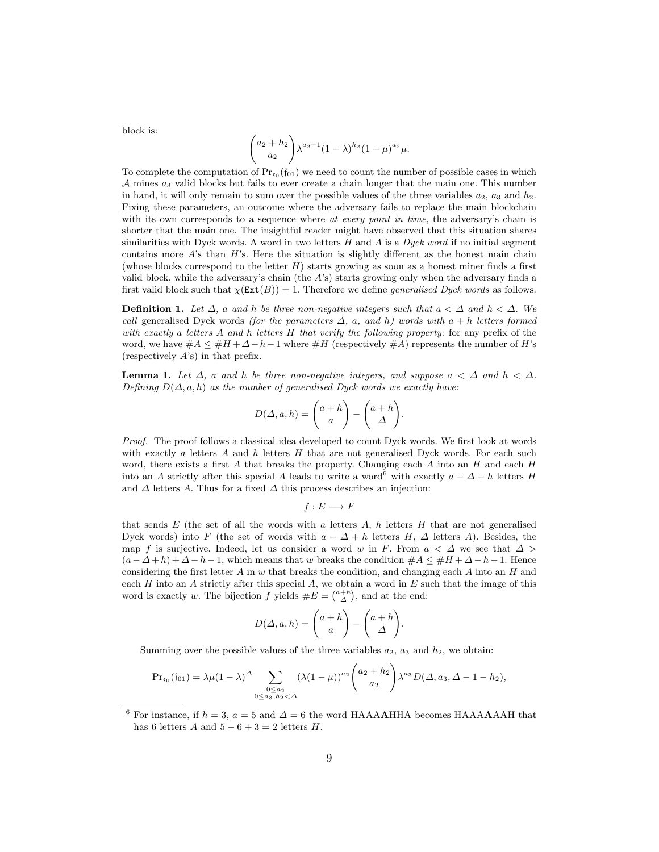block is:

$$
\binom{a_2+h_2}{a_2} \lambda^{a_2+1} (1-\lambda)^{h_2} (1-\mu)^{a_2} \mu.
$$

To complete the computation of  $Pr_{\mathfrak{c}_0}(\mathfrak{f}_{01})$  we need to count the number of possible cases in which  $A$  mines  $a_3$  valid blocks but fails to ever create a chain longer that the main one. This number in hand, it will only remain to sum over the possible values of the three variables  $a_2$ ,  $a_3$  and  $h_2$ . Fixing these parameters, an outcome where the adversary fails to replace the main blockchain with its own corresponds to a sequence where at every point in time, the adversary's chain is shorter that the main one. The insightful reader might have observed that this situation shares similarities with Dyck words. A word in two letters  $H$  and  $A$  is a Dyck word if no initial segment contains more  $A$ 's than  $H$ 's. Here the situation is slightly different as the honest main chain (whose blocks correspond to the letter  $H$ ) starts growing as soon as a honest miner finds a first valid block, while the adversary's chain (the A's) starts growing only when the adversary finds a first valid block such that  $\chi(\text{Ext}(B)) = 1$ . Therefore we define *generalised Dyck words* as follows.

**Definition 1.** Let  $\Delta$ , a and h be three non-negative integers such that  $a < \Delta$  and  $h < \Delta$ . We call generalised Dyck words (for the parameters  $\Delta$ , a, and h) words with a + h letters formed with exactly a letters  $A$  and  $h$  letters  $H$  that verify the following property: for any prefix of the word, we have  $#A \leq #H + \Delta - h - 1$  where  $#H$  (respectively  $#A$ ) represents the number of H's (respectively  $A$ 's) in that prefix.

**Lemma 1.** Let  $\Delta$ , a and h be three non-negative integers, and suppose  $a < \Delta$  and  $h < \Delta$ . Defining  $D(\Delta, a, h)$  as the number of generalised Dyck words we exactly have:

$$
D(\Delta, a, h) = \begin{pmatrix} a+h \\ a \end{pmatrix} - \begin{pmatrix} a+h \\ \Delta \end{pmatrix}.
$$

Proof. The proof follows a classical idea developed to count Dyck words. We first look at words with exactly a letters  $A$  and  $h$  letters  $H$  that are not generalised Dyck words. For each such word, there exists a first A that breaks the property. Changing each A into an  $H$  and each  $H$ into an A strictly after this special A leads to write a word<sup>6</sup> with exactly  $a - \Delta + h$  letters H and  $\Delta$  letters A. Thus for a fixed  $\Delta$  this process describes an injection:

$$
f:E\longrightarrow F
$$

that sends  $E$  (the set of all the words with a letters  $A$ , h letters  $H$  that are not generalised Dyck words) into F (the set of words with  $a - \Delta + h$  letters H,  $\Delta$  letters A). Besides, the map f is surjective. Indeed, let us consider a word w in F. From  $a < \Delta$  we see that  $\Delta >$  $(a - \Delta + h) + \Delta - h - 1$ , which means that w breaks the condition  $\#A \leq \#H + \Delta - h - 1$ . Hence considering the first letter  $A$  in  $w$  that breaks the condition, and changing each  $A$  into an  $H$  and each  $H$  into an  $A$  strictly after this special  $A$ , we obtain a word in  $E$  such that the image of this word is exactly w. The bijection f yields  $#E = \binom{a+h}{\Delta}$ , and at the end:

$$
D(\Delta, a, h) = \begin{pmatrix} a+h \\ a \end{pmatrix} - \begin{pmatrix} a+h \\ \Delta \end{pmatrix}.
$$

Summing over the possible values of the three variables  $a_2$ ,  $a_3$  and  $h_2$ , we obtain:

$$
\Pr_{\mathfrak{e}_0}(\mathfrak{f}_{01}) = \lambda \mu (1 - \lambda)^{\Delta} \sum_{\substack{0 \leq a_2 \\ 0 \leq a_3, h_2 < \Delta}} (\lambda (1 - \mu))^{a_2} \binom{a_2 + h_2}{a_2} \lambda^{a_3} D(\Delta, a_3, \Delta - 1 - h_2),
$$

 $^6$  For instance, if  $h = 3$ ,  $a = 5$  and  $\Delta = 6$  the word HAAAAHHA becomes HAAAAAAH that has 6 letters A and  $5 - 6 + 3 = 2$  letters H.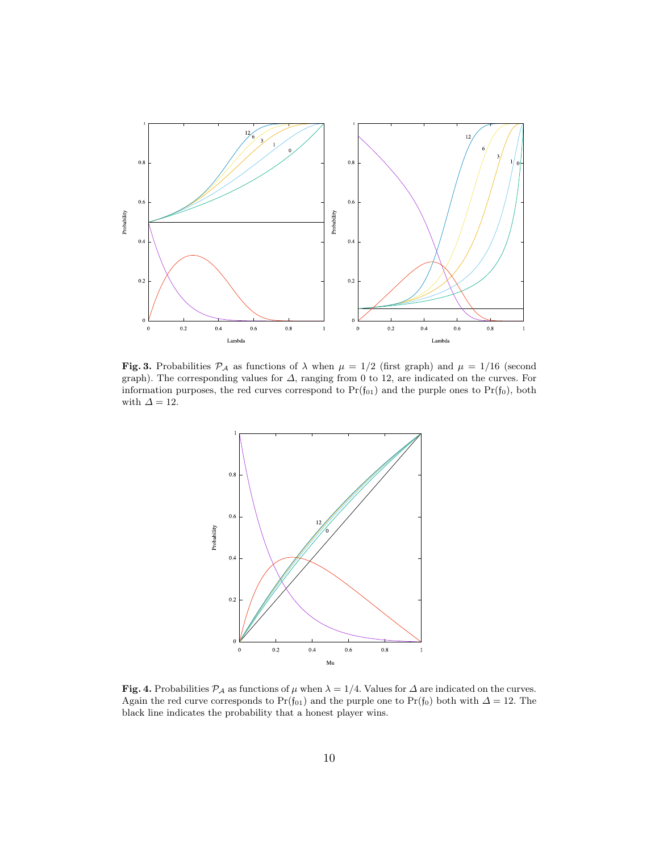

Fig. 3. Probabilities  $P_A$  as functions of  $\lambda$  when  $\mu = 1/2$  (first graph) and  $\mu = 1/16$  (second graph). The corresponding values for ∆, ranging from 0 to 12, are indicated on the curves. For information purposes, the red curves correspond to  $Pr(f_{01})$  and the purple ones to  $Pr(f_0)$ , both with  $\varDelta=12.$ 



Fig. 4. Probabilities  $\mathcal{P}_{\mathcal{A}}$  as functions of  $\mu$  when  $\lambda = 1/4$ . Values for  $\Delta$  are indicated on the curves. Again the red curve corresponds to Pr(f<sub>01</sub>) and the purple one to Pr(f<sub>0</sub>) both with  $\Delta = 12$ . The black line indicates the probability that a honest player wins.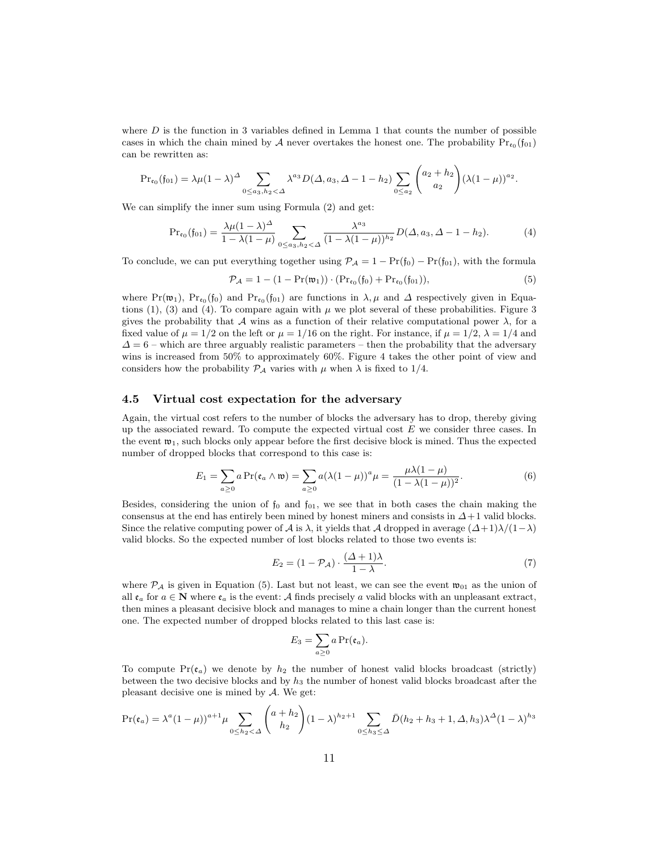where  $D$  is the function in 3 variables defined in Lemma 1 that counts the number of possible cases in which the chain mined by A never overtakes the honest one. The probability  $Pr_{\epsilon_0}(\mathfrak{f}_{01})$ can be rewritten as:

$$
\Pr_{\mathfrak{e}_0}(\mathfrak{f}_{01}) = \lambda \mu (1 - \lambda)^{\Delta} \sum_{0 \le a_3, h_2 < \Delta} \lambda^{a_3} D(\Delta, a_3, \Delta - 1 - h_2) \sum_{0 \le a_2} \binom{a_2 + h_2}{a_2} (\lambda (1 - \mu))^{a_2}.
$$

We can simplify the inner sum using Formula (2) and get:

$$
\Pr_{\mathfrak{e}_0}(\mathfrak{f}_{01}) = \frac{\lambda \mu (1 - \lambda)^{\Delta}}{1 - \lambda (1 - \mu)} \sum_{0 \le a_3, h_2 < \Delta} \frac{\lambda^{a_3}}{(1 - \lambda (1 - \mu))^{h_2}} D(\Delta, a_3, \Delta - 1 - h_2). \tag{4}
$$

To conclude, we can put everything together using  $\mathcal{P}_A = 1 - \Pr(f_0) - \Pr(f_0)$ , with the formula

$$
\mathcal{P}_{\mathcal{A}} = 1 - (1 - \Pr(\mathfrak{w}_1)) \cdot (\Pr_{\mathfrak{e}_0}(\mathfrak{f}_0) + \Pr_{\mathfrak{e}_0}(\mathfrak{f}_{01})),\tag{5}
$$

where  $Pr(\mathfrak{w}_1)$ ,  $Pr_{\varepsilon_0}(f_0)$  and  $Pr_{\varepsilon_0}(f_{01})$  are functions in  $\lambda, \mu$  and  $\Delta$  respectively given in Equations (1), (3) and (4). To compare again with  $\mu$  we plot several of these probabilities. Figure 3 gives the probability that A wins as a function of their relative computational power  $\lambda$ , for a fixed value of  $\mu = 1/2$  on the left or  $\mu = 1/16$  on the right. For instance, if  $\mu = 1/2$ ,  $\lambda = 1/4$  and  $\Delta = 6$  – which are three arguably realistic parameters – then the probability that the adversary wins is increased from 50% to approximately 60%. Figure 4 takes the other point of view and considers how the probability  $P_A$  varies with  $\mu$  when  $\lambda$  is fixed to 1/4.

#### 4.5 Virtual cost expectation for the adversary

Again, the virtual cost refers to the number of blocks the adversary has to drop, thereby giving up the associated reward. To compute the expected virtual cost  $E$  we consider three cases. In the event  $\mathfrak{w}_1$ , such blocks only appear before the first decisive block is mined. Thus the expected number of dropped blocks that correspond to this case is:

$$
E_1 = \sum_{a \ge 0} a \Pr(\mathfrak{e}_a \wedge \mathfrak{w}) = \sum_{a \ge 0} a (\lambda (1 - \mu))^a \mu = \frac{\mu \lambda (1 - \mu)}{(1 - \lambda (1 - \mu))^2}.
$$
 (6)

Besides, considering the union of  $f_0$  and  $f_{01}$ , we see that in both cases the chain making the consensus at the end has entirely been mined by honest miners and consists in  $\Delta+1$  valid blocks. Since the relative computing power of A is  $\lambda$ , it yields that A dropped in average  $(\Delta+1)\lambda/(1-\lambda)$ valid blocks. So the expected number of lost blocks related to those two events is:

$$
E_2 = (1 - \mathcal{P}_\mathcal{A}) \cdot \frac{(\Delta + 1)\lambda}{1 - \lambda}.\tag{7}
$$

where  $P_A$  is given in Equation (5). Last but not least, we can see the event  $\mathfrak{w}_{01}$  as the union of all  $e_a$  for  $a \in \mathbb{N}$  where  $e_a$  is the event: A finds precisely a valid blocks with an unpleasant extract, then mines a pleasant decisive block and manages to mine a chain longer than the current honest one. The expected number of dropped blocks related to this last case is:

$$
E_3=\sum_{a\geq 0}a\Pr(\mathfrak{e}_a).
$$

To compute  $Pr(e_a)$  we denote by  $h_2$  the number of honest valid blocks broadcast (strictly) between the two decisive blocks and by  $h_3$  the number of honest valid blocks broadcast after the pleasant decisive one is mined by  $A$ . We get:

$$
\Pr(\mathfrak{e}_a) = \lambda^a (1 - \mu))^{a+1} \mu \sum_{0 \le h_2 < \Delta} \binom{a+h_2}{h_2} (1 - \lambda)^{h_2 + 1} \sum_{0 \le h_3 \le \Delta} \bar{D}(h_2 + h_3 + 1, \Delta, h_3) \lambda^{\Delta} (1 - \lambda)^{h_3}
$$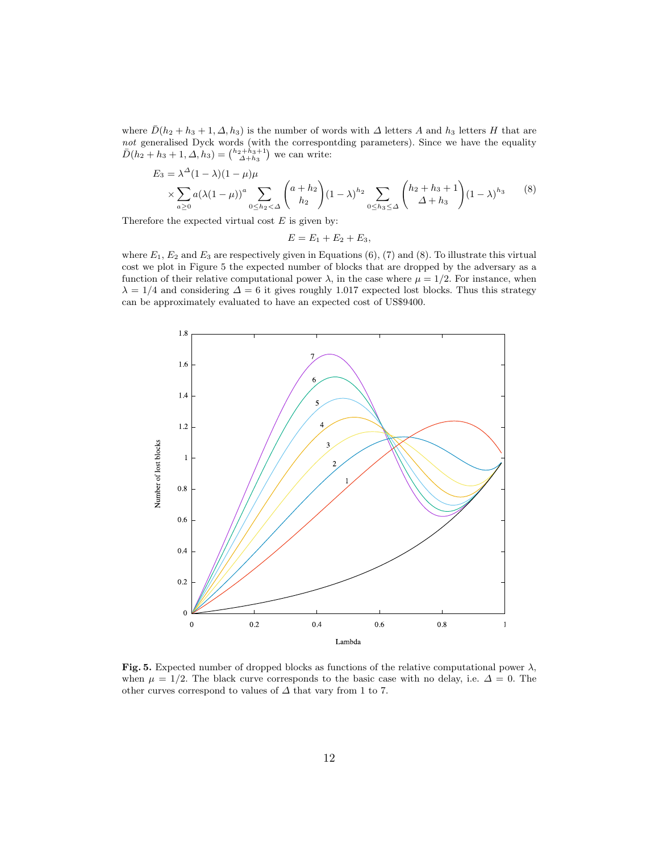where  $\bar{D}(h_2 + h_3 + 1, \Delta, h_3)$  is the number of words with  $\Delta$  letters A and  $h_3$  letters H that are not generalised Dyck words (with the correspontding parameters). Since we have the equality  $\bar{D}(h_2 + h_3 + 1, \Delta, h_3) = \binom{h_2 + h_3 + 1}{\Delta + h_3}$  we can write:

$$
E_3 = \lambda^{\Delta} (1 - \lambda)(1 - \mu)\mu
$$
  
\$\times \sum\_{a \ge 0} a(\lambda(1 - \mu))^a \sum\_{0 \le h\_2 < \Delta} \binom{a + h\_2}{h\_2} (1 - \lambda)^{h\_2} \sum\_{0 \le h\_3 \le \Delta} \binom{h\_2 + h\_3 + 1}{\Delta + h\_3} (1 - \lambda)^{h\_3}\$ (8)

Therefore the expected virtual cost  $E$  is given by:

$$
E=E_1+E_2+E_3,
$$

where  $E_1, E_2$  and  $E_3$  are respectively given in Equations (6), (7) and (8). To illustrate this virtual cost we plot in Figure 5 the expected number of blocks that are dropped by the adversary as a function of their relative computational power  $\lambda$ , in the case where  $\mu = 1/2$ . For instance, when  $\lambda = 1/4$  and considering  $\Delta = 6$  it gives roughly 1.017 expected lost blocks. Thus this strategy can be approximately evaluated to have an expected cost of US\$9400.



Fig. 5. Expected number of dropped blocks as functions of the relative computational power  $\lambda$ , when  $\mu = 1/2$ . The black curve corresponds to the basic case with no delay, i.e.  $\Delta = 0$ . The other curves correspond to values of  $\Delta$  that vary from 1 to 7.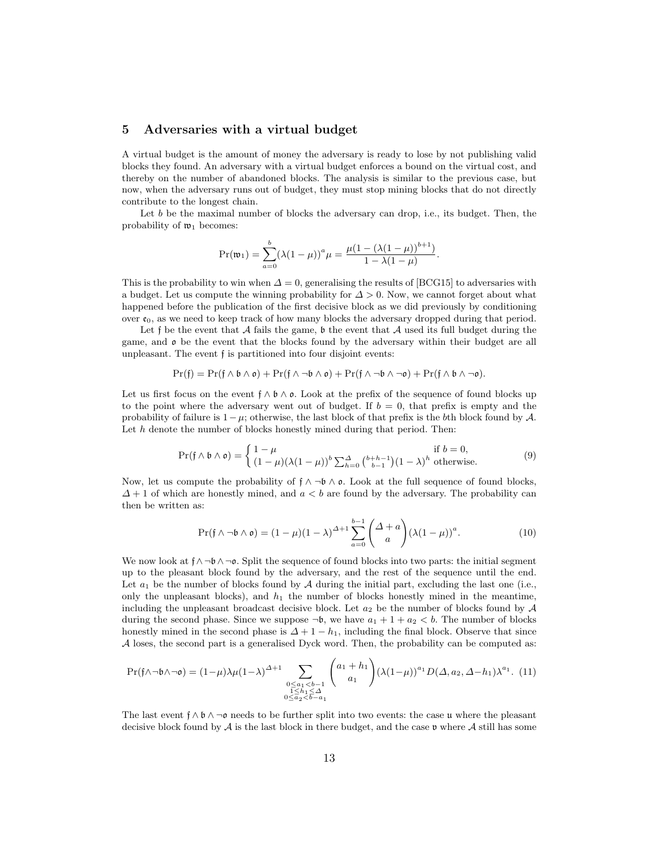### 5 Adversaries with a virtual budget

A virtual budget is the amount of money the adversary is ready to lose by not publishing valid blocks they found. An adversary with a virtual budget enforces a bound on the virtual cost, and thereby on the number of abandoned blocks. The analysis is similar to the previous case, but now, when the adversary runs out of budget, they must stop mining blocks that do not directly contribute to the longest chain.

Let  $b$  be the maximal number of blocks the adversary can drop, i.e., its budget. Then, the probability of  $\mathfrak{w}_1$  becomes:

$$
\Pr(\mathfrak{w}_1) = \sum_{a=0}^{b} (\lambda (1 - \mu))^a \mu = \frac{\mu (1 - (\lambda (1 - \mu))^{b+1})}{1 - \lambda (1 - \mu)}
$$

.

This is the probability to win when  $\Delta = 0$ , generalising the results of [BCG15] to adversaries with a budget. Let us compute the winning probability for  $\Delta > 0$ . Now, we cannot forget about what happened before the publication of the first decisive block as we did previously by conditioning over  $\mathfrak{e}_0$ , as we need to keep track of how many blocks the adversary dropped during that period.

Let  $\mathfrak f$  be the event that  $\mathcal A$  fails the game,  $\mathfrak b$  the event that  $\mathcal A$  used its full budget during the game, and o be the event that the blocks found by the adversary within their budget are all unpleasant. The event f is partitioned into four disjoint events:

$$
\Pr(f) = \Pr(f \wedge b \wedge \mathfrak{o}) + \Pr(f \wedge \neg b \wedge \mathfrak{o}) + \Pr(f \wedge \neg b \wedge \neg \mathfrak{o}) + \Pr(f \wedge b \wedge \neg \mathfrak{o}).
$$

Let us first focus on the event  $f \wedge b \wedge c$ . Look at the prefix of the sequence of found blocks up to the point where the adversary went out of budget. If  $b = 0$ , that prefix is empty and the probability of failure is  $1-\mu$ ; otherwise, the last block of that prefix is the bth block found by A. Let  $h$  denote the number of blocks honestly mined during that period. Then:

$$
\Pr(\mathfrak{f} \wedge \mathfrak{b} \wedge \mathfrak{o}) = \begin{cases} 1 - \mu & \text{if } b = 0, \\ (1 - \mu)(\lambda(1 - \mu))^b \sum_{h=0}^{\Delta} {b + h - 1 \choose b - 1} (1 - \lambda)^h \text{ otherwise.} \end{cases}
$$
(9)

Now, let us compute the probability of  $f \wedge \neg b \wedge \varphi$ . Look at the full sequence of found blocks,  $\Delta + 1$  of which are honestly mined, and  $a < b$  are found by the adversary. The probability can then be written as:

$$
\Pr(\mathfrak{f} \wedge \neg \mathfrak{b} \wedge \mathfrak{o}) = (1 - \mu)(1 - \lambda)^{\Delta + 1} \sum_{a=0}^{b-1} \binom{\Delta + a}{a} (\lambda (1 - \mu))^a.
$$
 (10)

We now look at  $f \wedge \neg b \wedge \neg c$ . Split the sequence of found blocks into two parts: the initial segment up to the pleasant block found by the adversary, and the rest of the sequence until the end. Let  $a_1$  be the number of blocks found by  $A$  during the initial part, excluding the last one (i.e., only the unpleasant blocks), and  $h_1$  the number of blocks honestly mined in the meantime, including the unpleasant broadcast decisive block. Let  $a_2$  be the number of blocks found by  $\mathcal A$ during the second phase. Since we suppose  $\neg b$ , we have  $a_1 + 1 + a_2 < b$ . The number of blocks honestly mined in the second phase is  $\Delta + 1 - h_1$ , including the final block. Observe that since A loses, the second part is a generalised Dyck word. Then, the probability can be computed as:

$$
\Pr(\mathfrak{f} \wedge \neg \mathfrak{b} \wedge \neg \mathfrak{o}) = (1 - \mu) \lambda \mu (1 - \lambda)^{\Delta + 1} \sum_{\substack{0 \le a_1 < b - 1 \\ 1 \le h_1 \le \Delta \\ 0 \le a_2 < b - a_1}} \binom{a_1 + h_1}{a_1} (\lambda (1 - \mu))^{a_1} D(\Delta, a_2, \Delta - h_1) \lambda^{a_1}.
$$
 (11)

The last event  $f \wedge b \wedge \neg \mathfrak{o}$  needs to be further split into two events: the case u where the pleasant decisive block found by  $A$  is the last block in there budget, and the case  $\nu$  where  $A$  still has some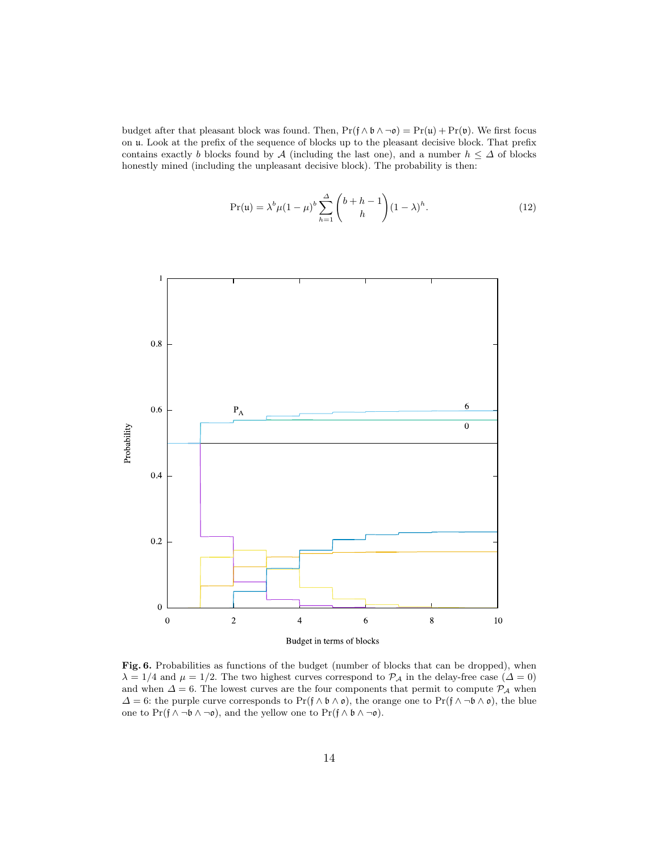budget after that pleasant block was found. Then,  $Pr(f \wedge b \wedge \neg o) = Pr(u) + Pr(v)$ . We first focus on u. Look at the prefix of the sequence of blocks up to the pleasant decisive block. That prefix contains exactly b blocks found by A (including the last one), and a number  $h \leq \Delta$  of blocks honestly mined (including the unpleasant decisive block). The probability is then:

$$
\Pr(u) = \lambda^{b} \mu (1 - \mu)^{b} \sum_{h=1}^{\Delta} {b + h - 1 \choose h} (1 - \lambda)^{h}.
$$
 (12)



Budget in terms of blocks

Fig. 6. Probabilities as functions of the budget (number of blocks that can be dropped), when  $\lambda = 1/4$  and  $\mu = 1/2$ . The two highest curves correspond to  $\mathcal{P}_{\mathcal{A}}$  in the delay-free case  $(\Delta = 0)$ and when  $\Delta = 6$ . The lowest curves are the four components that permit to compute  $\mathcal{P}_{\mathcal{A}}$  when  $\Delta = 6$ : the purple curve corresponds to Pr(f ∧ b ∧ o), the orange one to Pr(f ∧ ¬b ∧ o), the blue one to Pr( $f \wedge \neg b \wedge \neg o$ ), and the yellow one to Pr( $f \wedge b \wedge \neg o$ ).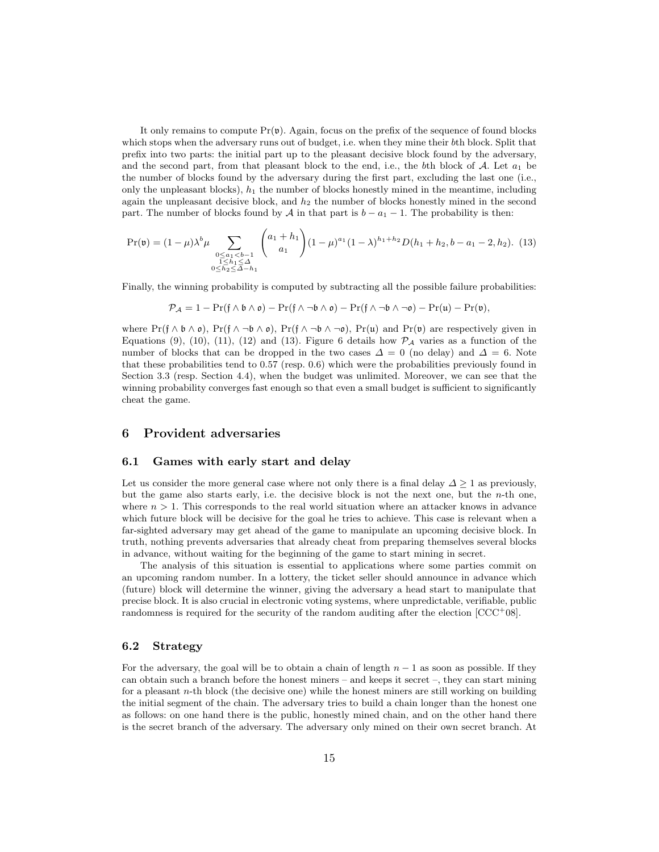It only remains to compute  $Pr(\mathfrak{v})$ . Again, focus on the prefix of the sequence of found blocks which stops when the adversary runs out of budget, i.e. when they mine their bth block. Split that prefix into two parts: the initial part up to the pleasant decisive block found by the adversary, and the second part, from that pleasant block to the end, i.e., the bth block of  $A$ . Let  $a_1$  be the number of blocks found by the adversary during the first part, excluding the last one (i.e., only the unpleasant blocks),  $h_1$  the number of blocks honestly mined in the meantime, including again the unpleasant decisive block, and  $h_2$  the number of blocks honestly mined in the second part. The number of blocks found by A in that part is  $b - a_1 - 1$ . The probability is then:

$$
\Pr(\mathfrak{v}) = (1 - \mu)\lambda^b \mu \sum_{\substack{0 \le a_1 < b - 1 \\ 1 \le h_1 \le \Delta \\ 0 \le h_2 \le \Delta - h_1}} \binom{a_1 + h_1}{a_1} (1 - \mu)^{a_1} (1 - \lambda)^{h_1 + h_2} D(h_1 + h_2, b - a_1 - 2, h_2). \tag{13}
$$

Finally, the winning probability is computed by subtracting all the possible failure probabilities:

$$
\mathcal{P}_{\mathcal{A}} = 1 - \Pr(\mathfrak{f} \wedge \mathfrak{b} \wedge \mathfrak{o}) - \Pr(\mathfrak{f} \wedge \neg \mathfrak{b} \wedge \mathfrak{o}) - \Pr(\mathfrak{f} \wedge \neg \mathfrak{b} \wedge \neg \mathfrak{o}) - \Pr(\mathfrak{u}) - \Pr(\mathfrak{v}),
$$

where  $Pr(f \wedge b \wedge o)$ ,  $Pr(f \wedge \neg b \wedge o)$ ,  $Pr(f \wedge \neg b \wedge \neg o)$ ,  $Pr(u)$  and  $Pr(v)$  are respectively given in Equations (9), (10), (11), (12) and (13). Figure 6 details how  $\mathcal{P}_{\mathcal{A}}$  varies as a function of the number of blocks that can be dropped in the two cases  $\Delta = 0$  (no delay) and  $\Delta = 6$ . Note that these probabilities tend to 0.57 (resp. 0.6) which were the probabilities previously found in Section 3.3 (resp. Section 4.4), when the budget was unlimited. Moreover, we can see that the winning probability converges fast enough so that even a small budget is sufficient to significantly cheat the game.

#### 6 Provident adversaries

#### 6.1 Games with early start and delay

Let us consider the more general case where not only there is a final delay  $\Delta \geq 1$  as previously, but the game also starts early, i.e. the decisive block is not the next one, but the  $n$ -th one, where  $n > 1$ . This corresponds to the real world situation where an attacker knows in advance which future block will be decisive for the goal he tries to achieve. This case is relevant when a far-sighted adversary may get ahead of the game to manipulate an upcoming decisive block. In truth, nothing prevents adversaries that already cheat from preparing themselves several blocks in advance, without waiting for the beginning of the game to start mining in secret.

The analysis of this situation is essential to applications where some parties commit on an upcoming random number. In a lottery, the ticket seller should announce in advance which (future) block will determine the winner, giving the adversary a head start to manipulate that precise block. It is also crucial in electronic voting systems, where unpredictable, verifiable, public randomness is required for the security of the random auditing after the election  $[CCC^+08]$ .

#### 6.2 Strategy

For the adversary, the goal will be to obtain a chain of length  $n - 1$  as soon as possible. If they can obtain such a branch before the honest miners – and keeps it secret –, they can start mining for a pleasant  $n$ -th block (the decisive one) while the honest miners are still working on building the initial segment of the chain. The adversary tries to build a chain longer than the honest one as follows: on one hand there is the public, honestly mined chain, and on the other hand there is the secret branch of the adversary. The adversary only mined on their own secret branch. At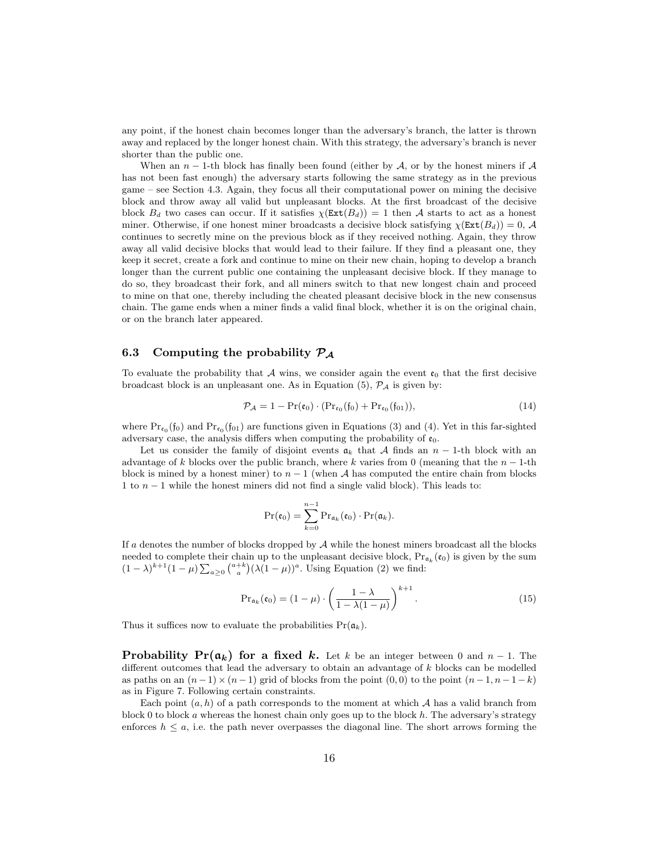any point, if the honest chain becomes longer than the adversary's branch, the latter is thrown away and replaced by the longer honest chain. With this strategy, the adversary's branch is never shorter than the public one.

When an  $n-1$ -th block has finally been found (either by A, or by the honest miners if A has not been fast enough) the adversary starts following the same strategy as in the previous game – see Section 4.3. Again, they focus all their computational power on mining the decisive block and throw away all valid but unpleasant blocks. At the first broadcast of the decisive block  $B_d$  two cases can occur. If it satisfies  $\chi(\text{Ext}(B_d)) = 1$  then A starts to act as a honest miner. Otherwise, if one honest miner broadcasts a decisive block satisfying  $\chi$ (Ext $(B_d)$ ) = 0, A continues to secretly mine on the previous block as if they received nothing. Again, they throw away all valid decisive blocks that would lead to their failure. If they find a pleasant one, they keep it secret, create a fork and continue to mine on their new chain, hoping to develop a branch longer than the current public one containing the unpleasant decisive block. If they manage to do so, they broadcast their fork, and all miners switch to that new longest chain and proceed to mine on that one, thereby including the cheated pleasant decisive block in the new consensus chain. The game ends when a miner finds a valid final block, whether it is on the original chain, or on the branch later appeared.

## 6.3 Computing the probability  $P_A$

To evaluate the probability that  $A$  wins, we consider again the event  $\mathfrak{e}_0$  that the first decisive broadcast block is an unpleasant one. As in Equation (5),  $\mathcal{P}_{\mathcal{A}}$  is given by:

$$
\mathcal{P}_{\mathcal{A}} = 1 - \Pr(\mathfrak{e}_0) \cdot (\Pr_{\mathfrak{e}_0}(\mathfrak{f}_0) + \Pr_{\mathfrak{e}_0}(\mathfrak{f}_{01})),\tag{14}
$$

where  $Pr_{\epsilon_0}(\mathfrak{f}_0)$  and  $Pr_{\epsilon_0}(\mathfrak{f}_{01})$  are functions given in Equations (3) and (4). Yet in this far-sighted adversary case, the analysis differs when computing the probability of  $\mathfrak{e}_0$ .

Let us consider the family of disjoint events  $a_k$  that A finds an  $n-1$ -th block with an advantage of k blocks over the public branch, where k varies from 0 (meaning that the  $n-1$ -th block is mined by a honest miner) to  $n-1$  (when A has computed the entire chain from blocks 1 to  $n-1$  while the honest miners did not find a single valid block). This leads to:

$$
\Pr(\mathfrak{e}_0) = \sum_{k=0}^{n-1} \Pr_{\mathfrak{a}_k}(\mathfrak{e}_0) \cdot \Pr(\mathfrak{a}_k).
$$

If a denotes the number of blocks dropped by  $A$  while the honest miners broadcast all the blocks needed to complete their chain up to the unpleasant decisive block,  $Pr_{\mathfrak{a}_k}(\mathfrak{e}_0)$  is given by the sum  $(1 - \lambda)^{k+1} (1 - \mu) \sum_{a \geq 0} {a+k \choose a} (\lambda (1 - \mu))^a$ . Using Equation (2) we find:

$$
\Pr_{\mathfrak{a}_k}(\mathfrak{e}_0) = (1 - \mu) \cdot \left(\frac{1 - \lambda}{1 - \lambda(1 - \mu)}\right)^{k+1}.
$$
 (15)

Thus it suffices now to evaluate the probabilities  $Pr(a_k)$ .

**Probability Pr(a<sub>k</sub>) for a fixed k.** Let k be an integer between 0 and  $n-1$ . The different outcomes that lead the adversary to obtain an advantage of  $k$  blocks can be modelled as paths on an  $(n-1)\times(n-1)$  grid of blocks from the point  $(0, 0)$  to the point  $(n-1, n-1-k)$ as in Figure 7. Following certain constraints.

Each point  $(a, h)$  of a path corresponds to the moment at which A has a valid branch from block 0 to block  $a$  whereas the honest chain only goes up to the block  $h$ . The adversary's strategy enforces  $h \leq a$ , i.e. the path never overpasses the diagonal line. The short arrows forming the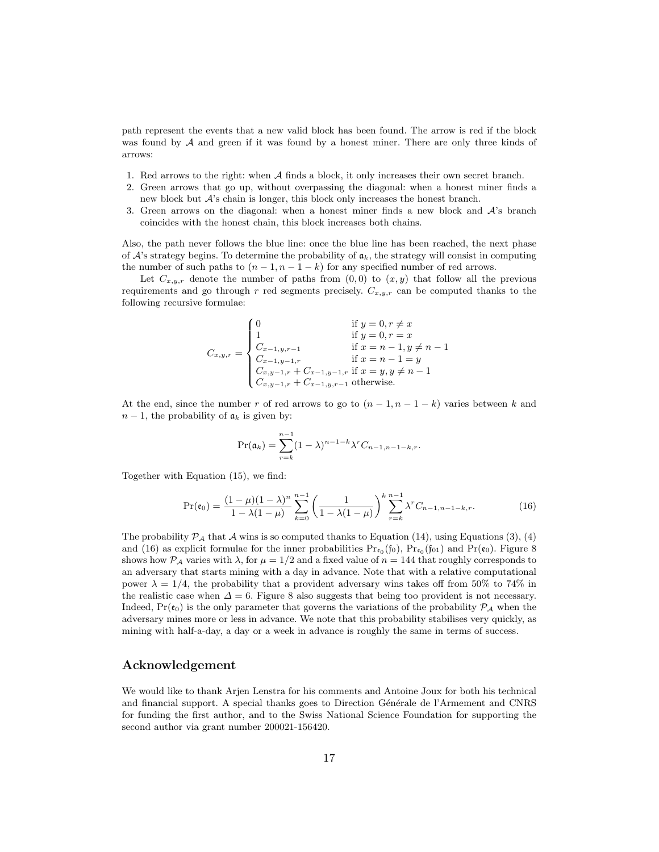path represent the events that a new valid block has been found. The arrow is red if the block was found by A and green if it was found by a honest miner. There are only three kinds of arrows:

- 1. Red arrows to the right: when A finds a block, it only increases their own secret branch.
- 2. Green arrows that go up, without overpassing the diagonal: when a honest miner finds a new block but  $A$ 's chain is longer, this block only increases the honest branch.
- 3. Green arrows on the diagonal: when a honest miner finds a new block and  $\mathcal{A}$ 's branch coincides with the honest chain, this block increases both chains.

Also, the path never follows the blue line: once the blue line has been reached, the next phase of  $\mathcal{A}$ 's strategy begins. To determine the probability of  $a_k$ , the strategy will consist in computing the number of such paths to  $(n-1, n-1-k)$  for any specified number of red arrows.

Let  $C_{x,y,r}$  denote the number of paths from  $(0,0)$  to  $(x,y)$  that follow all the previous requirements and go through r red segments precisely.  $C_{x,y,r}$  can be computed thanks to the following recursive formulae:

$$
C_{x,y,r} = \begin{cases} 0 & \text{if } y = 0, r \neq x \\ 1 & \text{if } y = 0, r = x \\ C_{x-1,y,r-1} & \text{if } x = n-1, y \neq n-1 \\ C_{x-1,y-1,r} & \text{if } x = n-1 = y \\ C_{x,y-1,r} + C_{x-1,y-1,r} & \text{if } x = y, y \neq n-1 \\ C_{x,y-1,r} + C_{x-1,y,r-1} & \text{otherwise.} \end{cases}
$$

At the end, since the number r of red arrows to go to  $(n-1, n-1-k)$  varies between k and  $n-1$ , the probability of  $a_k$  is given by:

$$
\Pr(\mathfrak{a}_k) = \sum_{r=k}^{n-1} (1 - \lambda)^{n-1-k} \lambda^r C_{n-1, n-1-k,r}.
$$

Together with Equation (15), we find:

$$
\Pr(\mathfrak{e}_0) = \frac{(1-\mu)(1-\lambda)^n}{1-\lambda(1-\mu)} \sum_{k=0}^{n-1} \left(\frac{1}{1-\lambda(1-\mu)}\right)^k \sum_{r=k}^{n-1} \lambda^r C_{n-1,n-1-k,r}.\tag{16}
$$

The probability  $\mathcal{P}_\mathcal{A}$  that  $\mathcal A$  wins is so computed thanks to Equation (14), using Equations (3), (4) and (16) as explicit formulae for the inner probabilities  $Pr_{\epsilon_0}(f_0)$ ,  $Pr_{\epsilon_0}(f_{01})$  and  $Pr(\epsilon_0)$ . Figure 8 shows how  $\mathcal{P}_{\mathcal{A}}$  varies with  $\lambda$ , for  $\mu = 1/2$  and a fixed value of  $n = 144$  that roughly corresponds to an adversary that starts mining with a day in advance. Note that with a relative computational power  $\lambda = 1/4$ , the probability that a provident adversary wins takes off from 50% to 74% in the realistic case when  $\Delta = 6$ . Figure 8 also suggests that being too provident is not necessary. Indeed,  $Pr(\mathfrak{e}_0)$  is the only parameter that governs the variations of the probability  $P_A$  when the adversary mines more or less in advance. We note that this probability stabilises very quickly, as mining with half-a-day, a day or a week in advance is roughly the same in terms of success.

## Acknowledgement

We would like to thank Arjen Lenstra for his comments and Antoine Joux for both his technical and financial support. A special thanks goes to Direction Générale de l'Armement and CNRS for funding the first author, and to the Swiss National Science Foundation for supporting the second author via grant number 200021-156420.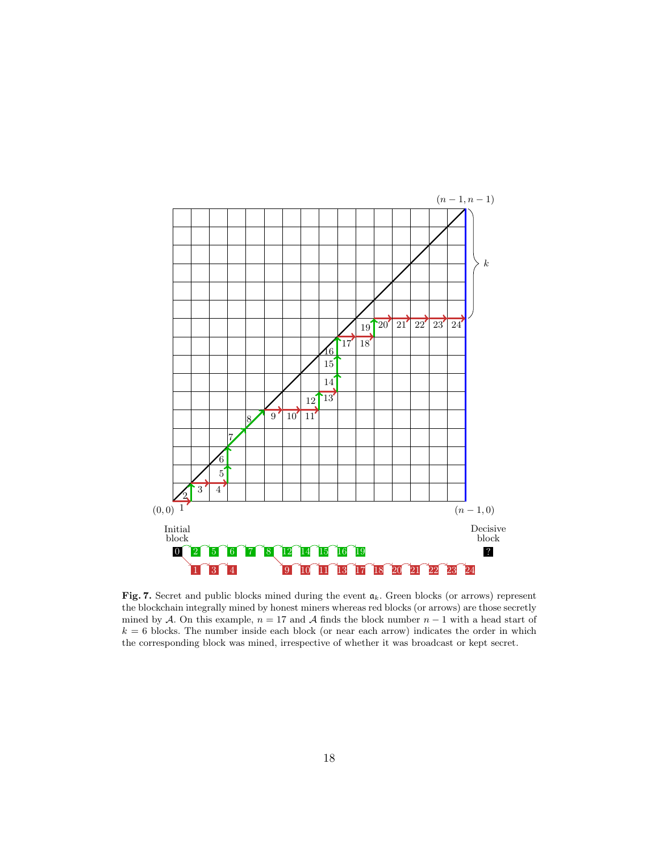

Fig. 7. Secret and public blocks mined during the event  $a_k$ . Green blocks (or arrows) represent the blockchain integrally mined by honest miners whereas red blocks (or arrows) are those secretly mined by A. On this example,  $n = 17$  and A finds the block number  $n - 1$  with a head start of  $k = 6$  blocks. The number inside each block (or near each arrow) indicates the order in which the corresponding block was mined, irrespective of whether it was broadcast or kept secret.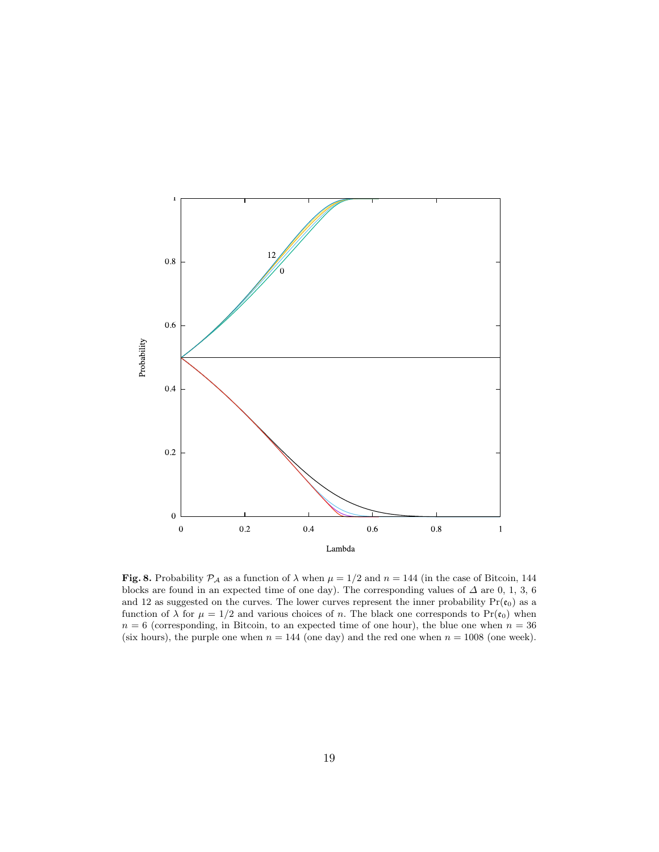

Fig. 8. Probability  $\mathcal{P}_A$  as a function of  $\lambda$  when  $\mu = 1/2$  and  $n = 144$  (in the case of Bitcoin, 144 blocks are found in an expected time of one day). The corresponding values of  $\Delta$  are 0, 1, 3, 6 and 12 as suggested on the curves. The lower curves represent the inner probability  $Pr(\mathfrak{e}_0)$  as a function of  $\lambda$  for  $\mu = 1/2$  and various choices of n. The black one corresponds to Pr( $\mathfrak{e}_0$ ) when  $n = 6$  (corresponding, in Bitcoin, to an expected time of one hour), the blue one when  $n = 36$ (six hours), the purple one when  $n = 144$  (one day) and the red one when  $n = 1008$  (one week).